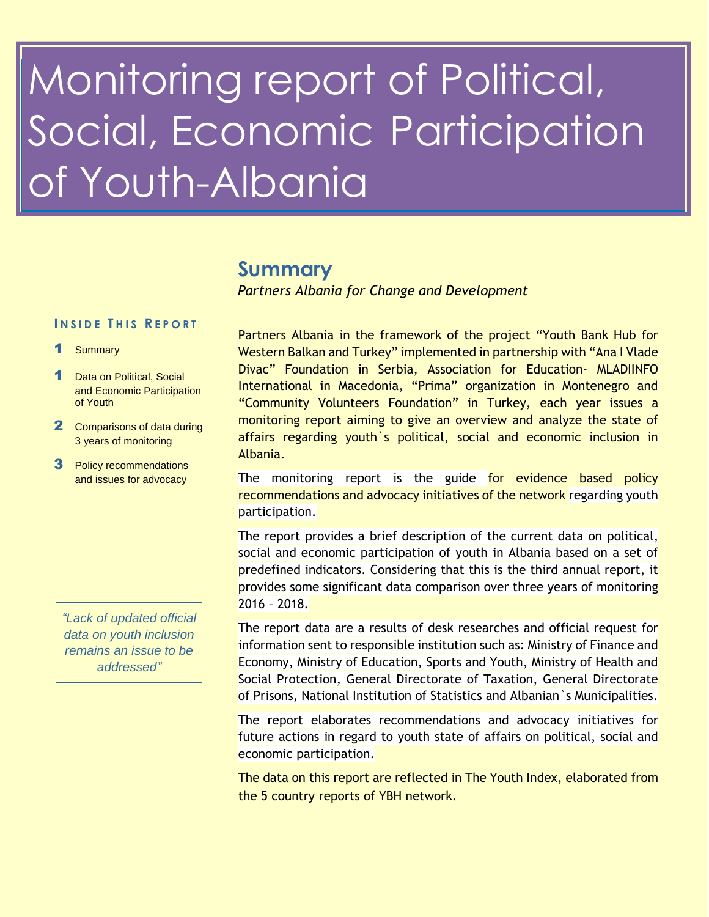# Monitoring report of Political, Social, Economic Participation Youth-Albania

### **Summary**

*Partners Albania for Change and Development*

#### **I N S I D E T H I S R E P O R T**

- 1 Summary
- 1 Data on Political, Social and Economic Participation of Youth
- 2 Comparisons of data during 3 years of monitoring
- **3** Policy recommendations and issues for advocacy

*"Lack of updated official data on youth inclusion remains an issue to be addressed"*

Partners Albania in the framework of the project "Youth Bank Hub for Western Balkan and Turkey" implemented in partnership with "Ana I Vlade Divac" Foundation in Serbia, Association for Education- MLADIINFO International in Macedonia, "Prima" organization in Montenegro and "Community Volunteers Foundation" in Turkey, each year issues a monitoring report aiming to give an overview and analyze the state of affairs regarding youth`s political, social and economic inclusion in Albania.

The monitoring report is the guide for evidence based policy recommendations and advocacy initiatives of the network regarding youth participation.

The report provides a brief description of the current data on political, social and economic participation of youth in Albania based on a set of predefined indicators. Considering that this is the third annual report, it provides some significant data comparison over three years of monitoring 2016 – 2018.

The report data are a results of desk researches and official request for information sent to responsible institution such as: Ministry of Finance and Economy, Ministry of Education, Sports and Youth, Ministry of Health and Social Protection, General Directorate of Taxation, General Directorate of Prisons, National Institution of Statistics and Albanian`s Municipalities.

The report elaborates recommendations and advocacy initiatives for future actions in regard to youth state of affairs on political, social and economic participation.

The data on this report are reflected in The Youth Index, elaborated from the 5 country reports of YBH network.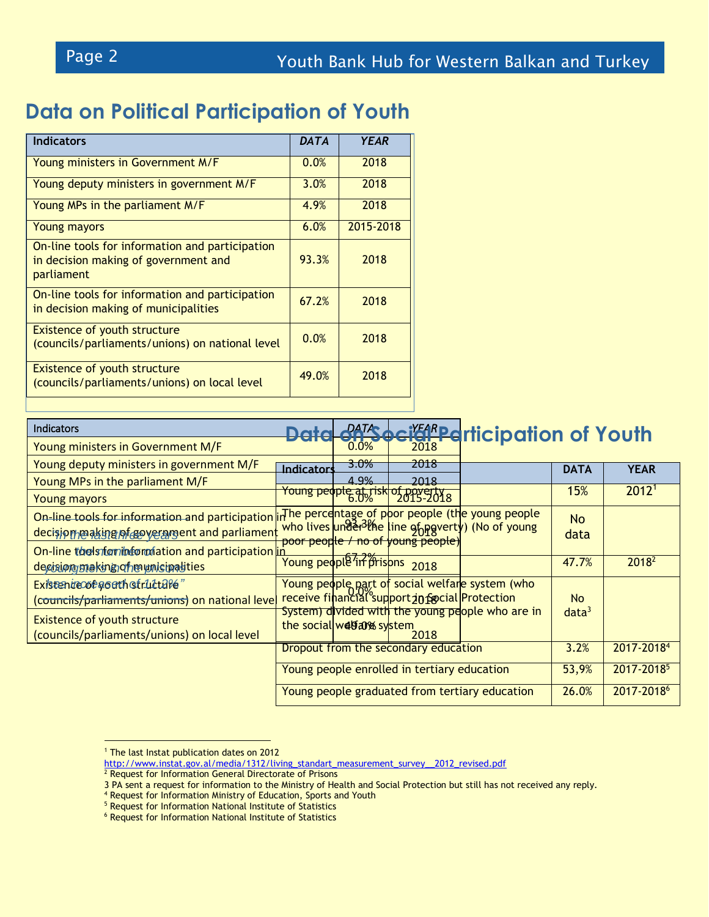### **Data on Political Participation of Youth**

| <b>Indicators</b>                                                                                     | <b>DATA</b> | <b>YEAR</b> |
|-------------------------------------------------------------------------------------------------------|-------------|-------------|
| Young ministers in Government M/F                                                                     | 0.0%        | 2018        |
| Young deputy ministers in government M/F                                                              | 3.0%        | 2018        |
| Young MPs in the parliament M/F                                                                       | 4.9%        | 2018        |
| Young mayors                                                                                          | 6.0%        | 2015-2018   |
| On-line tools for information and participation<br>in decision making of government and<br>parliament | 93.3%       | 2018        |
| On-line tools for information and participation<br>in decision making of municipalities               | 67.2%       | 2018        |
| Existence of youth structure<br>(councils/parliaments/unions) on national level                       | 0.0%        | 2018        |
| Existence of youth structure<br>(councils/parliaments/unions) on local level                          | 49.0%       | 2018        |

| Indicators                                                                                         |                                                                                                                                       | DATA                                      |                                                              | si <sup>rc</sup> f Participation of Youth                       |                   |                   |
|----------------------------------------------------------------------------------------------------|---------------------------------------------------------------------------------------------------------------------------------------|-------------------------------------------|--------------------------------------------------------------|-----------------------------------------------------------------|-------------------|-------------------|
| Young ministers in Government M/F                                                                  |                                                                                                                                       | 0.0%                                      | 2018                                                         |                                                                 |                   |                   |
| Young deputy ministers in government M/F                                                           | <b>Indicators</b>                                                                                                                     | 3.0%                                      | 2018                                                         |                                                                 | <b>DATA</b>       | <b>YEAR</b>       |
| Young MPs in the parliament M/F                                                                    |                                                                                                                                       | 4 9%                                      | 2018                                                         |                                                                 |                   |                   |
| Young mayors                                                                                       |                                                                                                                                       | <b>Young people at Tisk</b>               | 2015-2018                                                    |                                                                 | 15%               | 2012 <sup>1</sup> |
| On-line tools for information and participation in The percentage of poor people (the young people |                                                                                                                                       |                                           |                                                              |                                                                 | <b>No</b>         |                   |
| decisjon/making/af-goverangent and parliament                                                      |                                                                                                                                       |                                           | <del>poor people / no of young people)</del>                 | who lives under <sup>31</sup> the line gf payerty) (No of young | data              |                   |
| On-line tools for integration and participation in                                                 |                                                                                                                                       |                                           |                                                              |                                                                 |                   |                   |
| decisiongetaking of requirementies                                                                 |                                                                                                                                       | Young people <sup>7</sup> in prisons 2018 |                                                              |                                                                 | 47.7%             | 2018 <sup>2</sup> |
| Existeniecorporth structule"                                                                       |                                                                                                                                       |                                           |                                                              | Young people part of social welfare system (who                 |                   |                   |
| (councils/parliaments/unions) on national leve                                                     |                                                                                                                                       |                                           | receive financial <sup>°</sup> support in Special Protection |                                                                 | <b>No</b>         |                   |
| <b>Existence of youth structure</b>                                                                |                                                                                                                                       |                                           |                                                              | System) divided with the young people who are in                | data <sup>3</sup> |                   |
| (councils/parliaments/unions) on local level                                                       |                                                                                                                                       | the social web ax system                  | 2018                                                         |                                                                 |                   |                   |
|                                                                                                    | Dropout from the secondary education<br>Young people enrolled in tertiary education<br>Young people graduated from tertiary education |                                           |                                                              | 3.2%                                                            | 2017-20184        |                   |
|                                                                                                    |                                                                                                                                       |                                           |                                                              | 53,9%                                                           | 2017-20185        |                   |
|                                                                                                    |                                                                                                                                       |                                           |                                                              | 26.0%                                                           | 2017-2018         |                   |

<sup>&</sup>lt;sup>1</sup> The last Instat publication dates on 2012

[http://www.instat.gov.al/media/1312/living\\_standart\\_measurement\\_survey\\_\\_2012\\_revised.pdf](http://www.instat.gov.al/media/1312/living_standart_measurement_survey__2012_revised.pdf)

<sup>&</sup>lt;sup>2</sup> Request for Information General Directorate of Prisons

<sup>3</sup> PA sent a request for information to the Ministry of Health and Social Protection but still has not received any reply.

<sup>&</sup>lt;sup>4</sup> Request for Information Ministry of Education, Sports and Youth

<sup>5</sup> Request for Information National Institute of Statistics

<sup>&</sup>lt;sup>6</sup> Request for Information National Institute of Statistics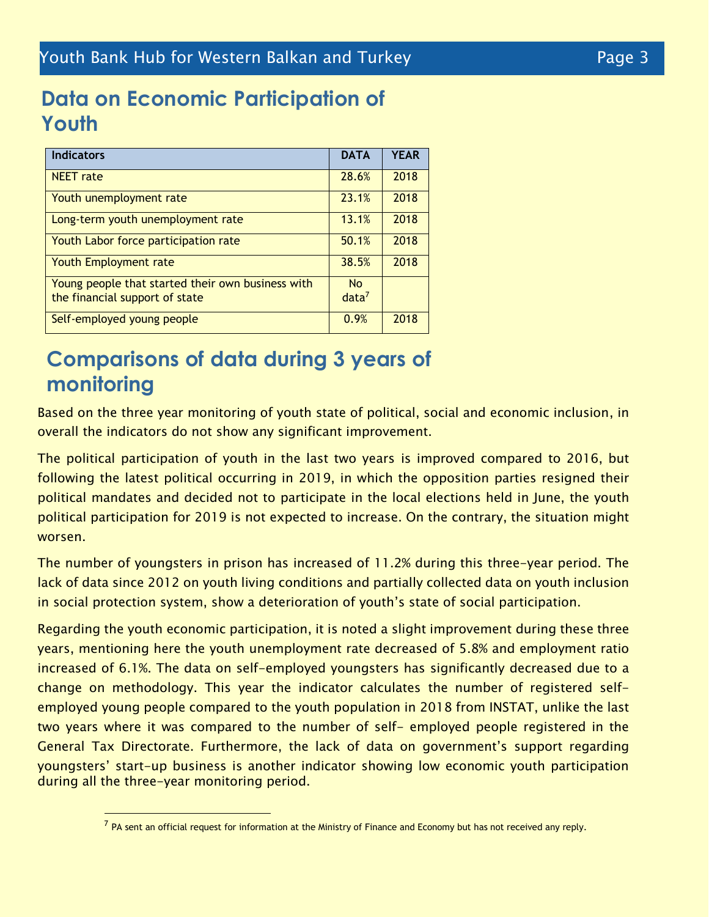### **Data on Economic Participation of Youth**

| <b>Indicators</b>                                 | <b>DATA</b>       | <b>YEAR</b> |
|---------------------------------------------------|-------------------|-------------|
| <b>NEET</b> rate                                  | 28.6%             | 2018        |
| Youth unemployment rate                           | 23.1%             | 2018        |
| Long-term youth unemployment rate                 | 13.1%             | 2018        |
| Youth Labor force participation rate              | 50.1%             | 2018        |
| Youth Employment rate                             | 38.5%             | 2018        |
| Young people that started their own business with | <b>No</b>         |             |
| the financial support of state                    | data <sup>7</sup> |             |
| Self-employed young people                        | 0.9%              | 2018        |

## **Comparisons of data during 3 years of monitoring**

Based on the three year monitoring of youth state of political, social and economic inclusion, in overall the indicators do not show any significant improvement.

The political participation of youth in the last two years is improved compared to 2016, but following the latest political occurring in 2019, in which the opposition parties resigned their political mandates and decided not to participate in the local elections held in June, the youth political participation for 2019 is not expected to increase. On the contrary, the situation might worsen.

The number of youngsters in prison has increased of 11.2% during this three-year period. The lack of data since 2012 on youth living conditions and partially collected data on youth inclusion in social protection system, show a deterioration of youth's state of social participation.

Regarding the youth economic participation, it is noted a slight improvement during these three years, mentioning here the youth unemployment rate decreased of 5.8% and employment ratio increased of 6.1%. The data on self-employed youngsters has significantly decreased due to a change on methodology. This year the indicator calculates the number of registered selfemployed young people compared to the youth population in 2018 from INSTAT, unlike the last two years where it was compared to the number of self- employed people registered in the General Tax Directorate. Furthermore, the lack of data on government's support regarding youngsters' start-up business is another indicator showing low economic youth participation during all the three-year monitoring period.

<sup>&</sup>lt;sup>7</sup> PA sent an official request for information at the Ministry of Finance and Economy but has not received any reply.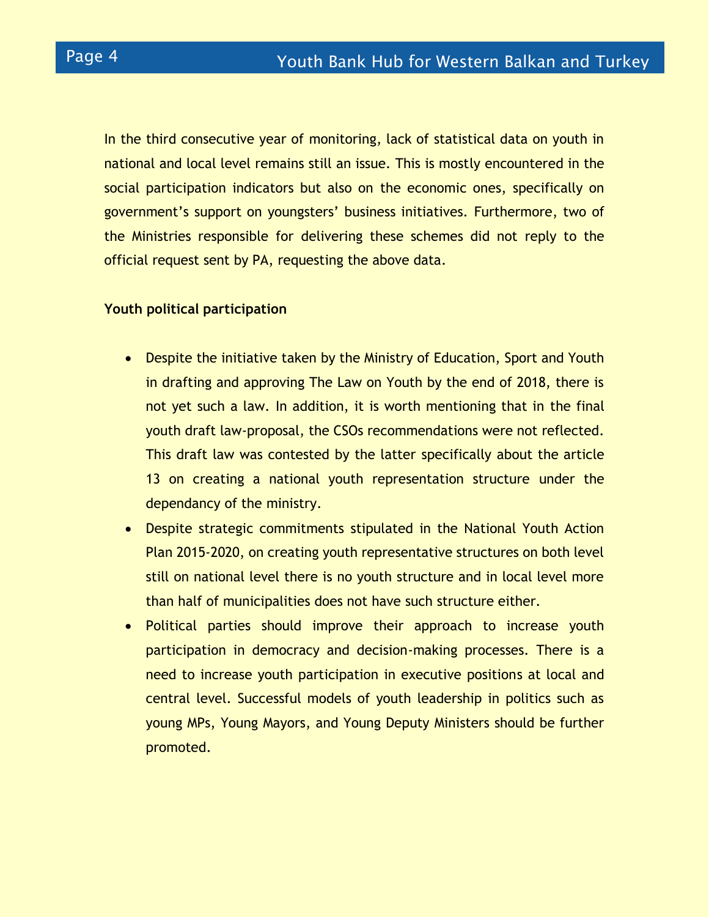In the third consecutive year of monitoring, lack of statistical data on youth in national and local level remains still an issue. This is mostly encountered in the social participation indicators but also on the economic ones, specifically on government's support on youngsters' business initiatives. Furthermore, two of the Ministries responsible for delivering these schemes did not reply to the official request sent by PA, requesting the above data.

### **Youth political participation**

- Despite the initiative taken by the Ministry of Education, Sport and Youth in drafting and approving The Law on Youth by the end of 2018, there is not yet such a law. In addition, it is worth mentioning that in the final youth draft law-proposal, the CSOs recommendations were not reflected. This draft law was contested by the latter specifically about the article 13 on creating a national youth representation structure under the dependancy of the ministry.
- Despite strategic commitments stipulated in the National Youth Action Plan 2015-2020, on creating youth representative structures on both level still on national level there is no youth structure and in local level more than half of municipalities does not have such structure either.
- Political parties should improve their approach to increase youth participation in democracy and decision-making processes. There is a need to increase youth participation in executive positions at local and central level. Successful models of youth leadership in politics such as young MPs, Young Mayors, and Young Deputy Ministers should be further promoted.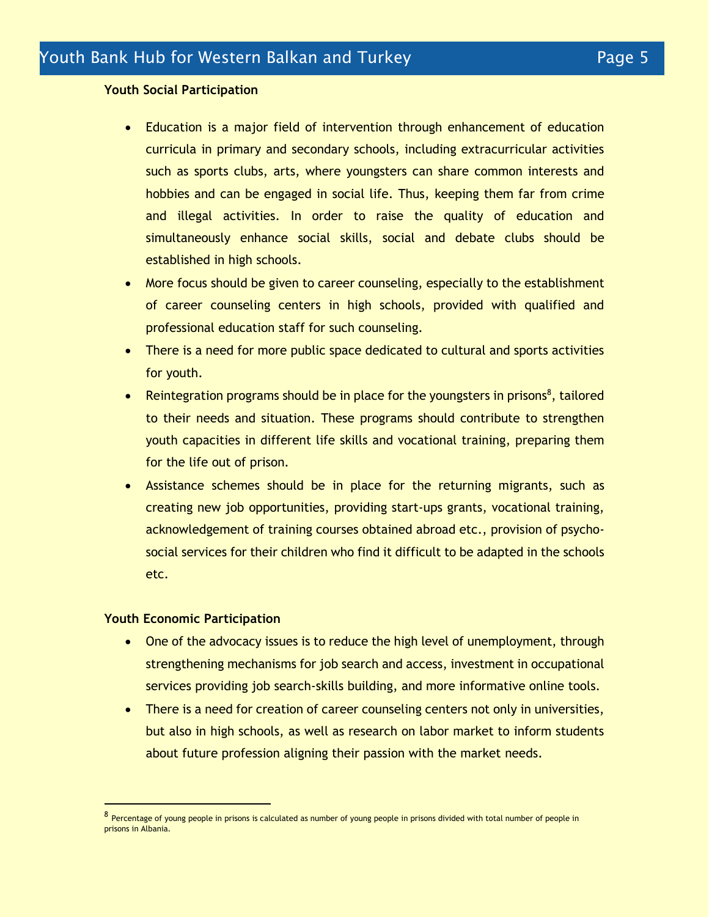### **Youth Social Participation**

- Education is a major field of intervention through enhancement of education curricula in primary and secondary schools, including extracurricular activities such as sports clubs, arts, where youngsters can share common interests and hobbies and can be engaged in social life. Thus, keeping them far from crime and illegal activities. In order to raise the quality of education and simultaneously enhance social skills, social and debate clubs should be established in high schools.
- More focus should be given to career counseling, especially to the establishment of career counseling centers in high schools, provided with qualified and professional education staff for such counseling.
- There is a need for more public space dedicated to cultural and sports activities for youth.
- Reintegration programs should be in place for the youngsters in prisons<sup>8</sup>, tailored to their needs and situation. These programs should contribute to strengthen youth capacities in different life skills and vocational training, preparing them for the life out of prison.
- Assistance schemes should be in place for the returning migrants, such as creating new job opportunities, providing start-ups grants, vocational training, acknowledgement of training courses obtained abroad etc., provision of psychosocial services for their children who find it difficult to be adapted in the schools etc.

#### **Youth Economic Participation**

- One of the advocacy issues is to reduce the high level of unemployment, through strengthening mechanisms for job search and access, investment in occupational services providing job search-skills building, and more informative online tools.
- There is a need for creation of career counseling centers not only in universities, but also in high schools, as well as research on labor market to inform students about future profession aligning their passion with the market needs.

<sup>8</sup> Percentage of young people in prisons is calculated as number of young people in prisons divided with total number of people in prisons in Albania.